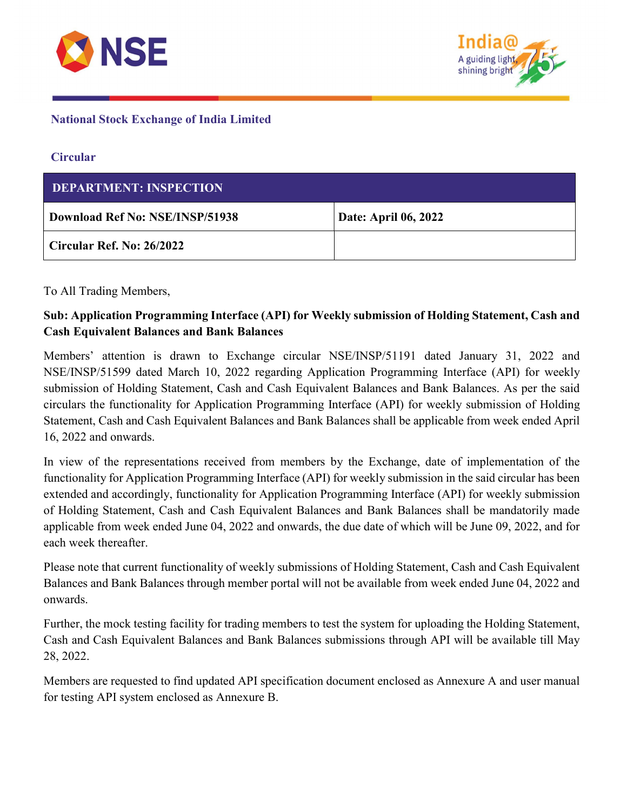



## National Stock Exchange of India Limited

### **Circular**

| <b>DEPARTMENT: INSPECTION</b>          |                             |  |
|----------------------------------------|-----------------------------|--|
| <b>Download Ref No: NSE/INSP/51938</b> | <b>Date: April 06, 2022</b> |  |
| Circular Ref. No: 26/2022              |                             |  |

To All Trading Members,

# Sub: Application Programming Interface (API) for Weekly submission of Holding Statement, Cash and Cash Equivalent Balances and Bank Balances

Members' attention is drawn to Exchange circular NSE/INSP/51191 dated January 31, 2022 and NSE/INSP/51599 dated March 10, 2022 regarding Application Programming Interface (API) for weekly submission of Holding Statement, Cash and Cash Equivalent Balances and Bank Balances. As per the said circulars the functionality for Application Programming Interface (API) for weekly submission of Holding Statement, Cash and Cash Equivalent Balances and Bank Balances shall be applicable from week ended April 16, 2022 and onwards.

In view of the representations received from members by the Exchange, date of implementation of the functionality for Application Programming Interface (API) for weekly submission in the said circular has been extended and accordingly, functionality for Application Programming Interface (API) for weekly submission of Holding Statement, Cash and Cash Equivalent Balances and Bank Balances shall be mandatorily made applicable from week ended June 04, 2022 and onwards, the due date of which will be June 09, 2022, and for each week thereafter.

Please note that current functionality of weekly submissions of Holding Statement, Cash and Cash Equivalent Balances and Bank Balances through member portal will not be available from week ended June 04, 2022 and onwards.

Further, the mock testing facility for trading members to test the system for uploading the Holding Statement, Cash and Cash Equivalent Balances and Bank Balances submissions through API will be available till May 28, 2022.

Members are requested to find updated API specification document enclosed as Annexure A and user manual for testing API system enclosed as Annexure B.